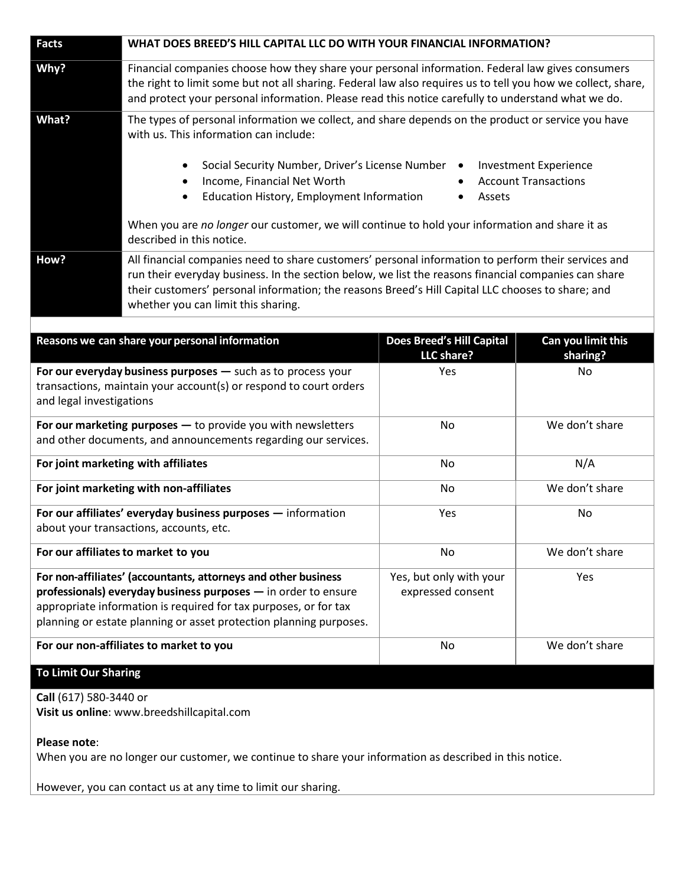| <b>Facts</b>                                                                                                                                                                                                                                                               | WHAT DOES BREED'S HILL CAPITAL LLC DO WITH YOUR FINANCIAL INFORMATION?                                                                                                                                                                                                                                                                                  |                                                |                                                             |
|----------------------------------------------------------------------------------------------------------------------------------------------------------------------------------------------------------------------------------------------------------------------------|---------------------------------------------------------------------------------------------------------------------------------------------------------------------------------------------------------------------------------------------------------------------------------------------------------------------------------------------------------|------------------------------------------------|-------------------------------------------------------------|
| Why?                                                                                                                                                                                                                                                                       | Financial companies choose how they share your personal information. Federal law gives consumers<br>the right to limit some but not all sharing. Federal law also requires us to tell you how we collect, share,<br>and protect your personal information. Please read this notice carefully to understand what we do.                                  |                                                |                                                             |
| What?                                                                                                                                                                                                                                                                      | The types of personal information we collect, and share depends on the product or service you have<br>with us. This information can include:                                                                                                                                                                                                            |                                                |                                                             |
|                                                                                                                                                                                                                                                                            | Social Security Number, Driver's License Number<br>٠<br>Income, Financial Net Worth<br>$\bullet$<br>Education History, Employment Information<br>٠                                                                                                                                                                                                      | $\bullet$<br>Assets                            | <b>Investment Experience</b><br><b>Account Transactions</b> |
|                                                                                                                                                                                                                                                                            | When you are no longer our customer, we will continue to hold your information and share it as<br>described in this notice.                                                                                                                                                                                                                             |                                                |                                                             |
| How?                                                                                                                                                                                                                                                                       | All financial companies need to share customers' personal information to perform their services and<br>run their everyday business. In the section below, we list the reasons financial companies can share<br>their customers' personal information; the reasons Breed's Hill Capital LLC chooses to share; and<br>whether you can limit this sharing. |                                                |                                                             |
|                                                                                                                                                                                                                                                                            |                                                                                                                                                                                                                                                                                                                                                         |                                                |                                                             |
| Reasons we can share your personal information                                                                                                                                                                                                                             |                                                                                                                                                                                                                                                                                                                                                         | <b>Does Breed's Hill Capital</b><br>LLC share? | Can you limit this<br>sharing?                              |
| For our everyday business purposes - such as to process your<br>transactions, maintain your account(s) or respond to court orders<br>and legal investigations                                                                                                              |                                                                                                                                                                                                                                                                                                                                                         | Yes                                            | No                                                          |
| For our marketing purposes $-$ to provide you with newsletters<br>and other documents, and announcements regarding our services.                                                                                                                                           |                                                                                                                                                                                                                                                                                                                                                         | No                                             | We don't share                                              |
| For joint marketing with affiliates                                                                                                                                                                                                                                        |                                                                                                                                                                                                                                                                                                                                                         | No                                             | N/A                                                         |
| For joint marketing with non-affiliates                                                                                                                                                                                                                                    |                                                                                                                                                                                                                                                                                                                                                         | No                                             | We don't share                                              |
| For our affiliates' everyday business purposes - information<br>about your transactions, accounts, etc.                                                                                                                                                                    |                                                                                                                                                                                                                                                                                                                                                         | Yes                                            | No                                                          |
| For our affiliates to market to you                                                                                                                                                                                                                                        |                                                                                                                                                                                                                                                                                                                                                         | No                                             | We don't share                                              |
| For non-affiliates' (accountants, attorneys and other business<br>professionals) everyday business purposes - in order to ensure<br>appropriate information is required for tax purposes, or for tax<br>planning or estate planning or asset protection planning purposes. |                                                                                                                                                                                                                                                                                                                                                         | Yes, but only with your<br>expressed consent   | Yes                                                         |
| For our non-affiliates to market to you                                                                                                                                                                                                                                    |                                                                                                                                                                                                                                                                                                                                                         | No                                             | We don't share                                              |
| <b>To Limit Our Sharing</b>                                                                                                                                                                                                                                                |                                                                                                                                                                                                                                                                                                                                                         |                                                |                                                             |

## **Call** (617) 580-3440 or **Visit us online**: www.breedshillcapital.com

## **Please note**:

When you are no longer our customer, we continue to share your information as described in this notice.

However, you can contact us at any time to limit our sharing.